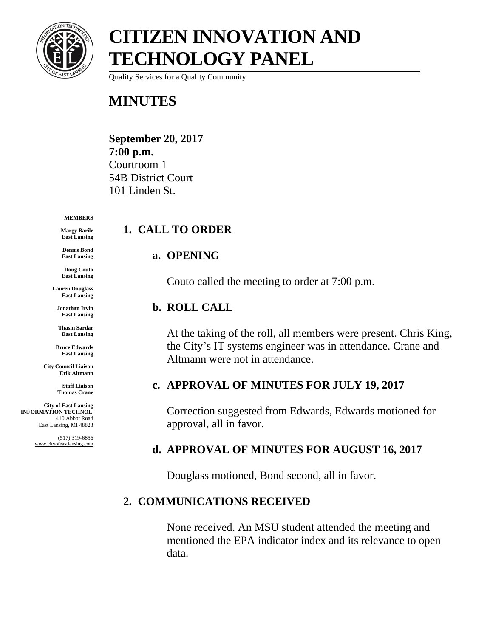

Quality Services for a Quality Community

# **MINUTES**

**September 20, 2017 7:00 p.m.** Courtroom 1 54B District Court 101 Linden St.

#### **MEMBERS**

**Margy Barile East Lansing**

**Dennis Bond East Lansing**

**Doug Couto East Lansing**

**Lauren Douglass East Lansing**

**Jonathan Irvin East Lansing**

**Thasin Sardar East Lansing**

**Bruce Edwards East Lansing**

**City Council Liaison Erik Altmann**

> **Staff Liaison Thomas Crane**

**City of East Lansing INFORMATION TECHNOLO** 410 Abbot Road East Lansing, MI 48823

> (517) 319-6856 www.cityofeastlansing.com

# **1. CALL TO ORDER**

#### **a. OPENING**

Couto called the meeting to order at 7:00 p.m.

#### **b. ROLL CALL**

At the taking of the roll, all members were present. Chris King, the City's IT systems engineer was in attendance. Crane and Altmann were not in attendance.

#### **c. APPROVAL OF MINUTES FOR JULY 19, 2017**

Correction suggested from Edwards, Edwards motioned for approval, all in favor.

# **d. APPROVAL OF MINUTES FOR AUGUST 16, 2017**

Douglass motioned, Bond second, all in favor.

# **2. COMMUNICATIONS RECEIVED**

None received. An MSU student attended the meeting and mentioned the EPA indicator index and its relevance to open data.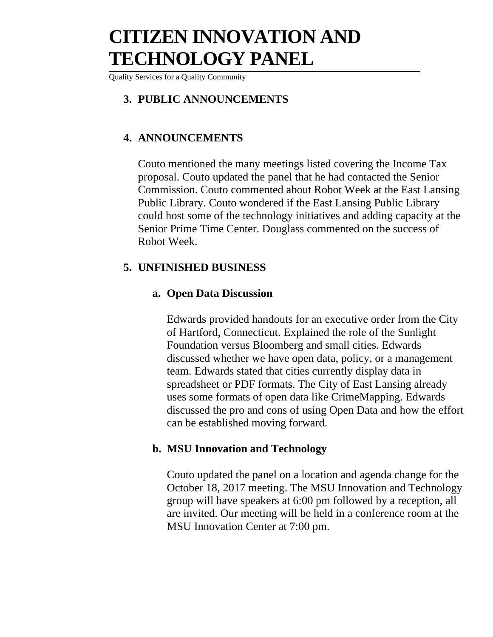Quality Services for a Quality Community

#### **3. PUBLIC ANNOUNCEMENTS**

# **4. ANNOUNCEMENTS**

Couto mentioned the many meetings listed covering the Income Tax proposal. Couto updated the panel that he had contacted the Senior Commission. Couto commented about Robot Week at the East Lansing Public Library. Couto wondered if the East Lansing Public Library could host some of the technology initiatives and adding capacity at the Senior Prime Time Center. Douglass commented on the success of Robot Week.

#### **5. UNFINISHED BUSINESS**

### **a. Open Data Discussion**

Edwards provided handouts for an executive order from the City of Hartford, Connecticut. Explained the role of the Sunlight Foundation versus Bloomberg and small cities. Edwards discussed whether we have open data, policy, or a management team. Edwards stated that cities currently display data in spreadsheet or PDF formats. The City of East Lansing already uses some formats of open data like CrimeMapping. Edwards discussed the pro and cons of using Open Data and how the effort can be established moving forward.

# **b. MSU Innovation and Technology**

Couto updated the panel on a location and agenda change for the October 18, 2017 meeting. The MSU Innovation and Technology group will have speakers at 6:00 pm followed by a reception, all are invited. Our meeting will be held in a conference room at the MSU Innovation Center at 7:00 pm.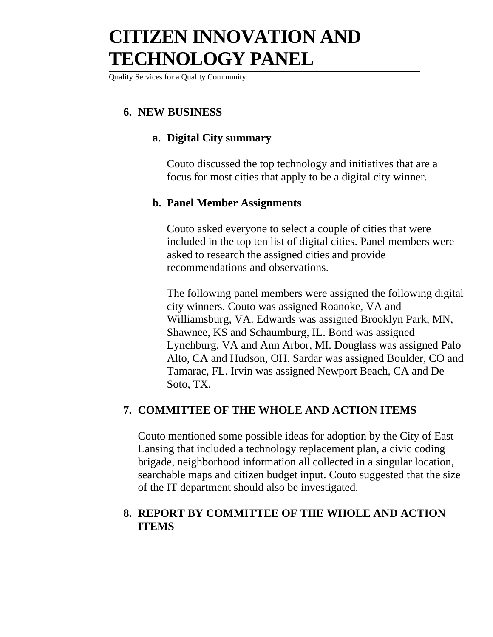Quality Services for a Quality Community

# **6. NEW BUSINESS**

### **a. Digital City summary**

Couto discussed the top technology and initiatives that are a focus for most cities that apply to be a digital city winner.

#### **b. Panel Member Assignments**

Couto asked everyone to select a couple of cities that were included in the top ten list of digital cities. Panel members were asked to research the assigned cities and provide recommendations and observations.

The following panel members were assigned the following digital city winners. Couto was assigned Roanoke, VA and Williamsburg, VA. Edwards was assigned Brooklyn Park, MN, Shawnee, KS and Schaumburg, IL. Bond was assigned Lynchburg, VA and Ann Arbor, MI. Douglass was assigned Palo Alto, CA and Hudson, OH. Sardar was assigned Boulder, CO and Tamarac, FL. Irvin was assigned Newport Beach, CA and De Soto, TX.

#### **7. COMMITTEE OF THE WHOLE AND ACTION ITEMS**

Couto mentioned some possible ideas for adoption by the City of East Lansing that included a technology replacement plan, a civic coding brigade, neighborhood information all collected in a singular location, searchable maps and citizen budget input. Couto suggested that the size of the IT department should also be investigated.

# **8. REPORT BY COMMITTEE OF THE WHOLE AND ACTION ITEMS**